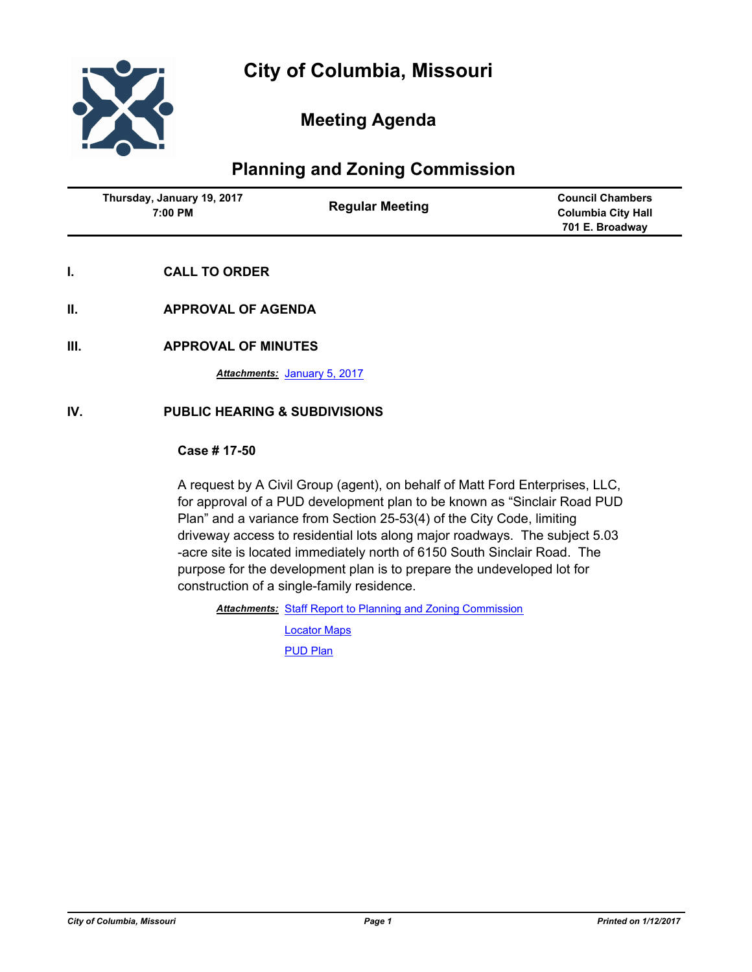

## **Meeting Agenda**

# **Planning and Zoning Commission**

| Thursday, January 19, 2017 | <b>Council Chambers</b>   |
|----------------------------|---------------------------|
| <b>Regular Meeting</b>     | <b>Columbia City Hall</b> |
| 7:00 PM                    | 701 E. Broadway           |

- **I. CALL TO ORDER**
- **II. APPROVAL OF AGENDA**
- **III. APPROVAL OF MINUTES**

*Attachments:* [January 5, 2017](http://gocolumbiamo.legistar.com/gateway.aspx?M=F&ID=0d044a54-4cdc-4429-af78-2fbf4bf10033.docx)

## **IV. PUBLIC HEARING & SUBDIVISIONS**

## **Case # 17-50**

A request by A Civil Group (agent), on behalf of Matt Ford Enterprises, LLC, for approval of a PUD development plan to be known as "Sinclair Road PUD Plan" and a variance from Section 25-53(4) of the City Code, limiting driveway access to residential lots along major roadways. The subject 5.03 -acre site is located immediately north of 6150 South Sinclair Road. The purpose for the development plan is to prepare the undeveloped lot for construction of a single-family residence.

Attachments: [Staff Report to Planning and Zoning Commission](http://gocolumbiamo.legistar.com/gateway.aspx?M=F&ID=5adfde5f-f3ab-4ac0-a9fe-33e0c7a54a8d.docx)

[Locator Maps](http://gocolumbiamo.legistar.com/gateway.aspx?M=F&ID=4d36ed53-2c3d-40da-9f60-8fd6c9e96a94.pdf) [PUD Plan](http://gocolumbiamo.legistar.com/gateway.aspx?M=F&ID=5a6080db-48ee-4312-9be4-9784603207bb.pdf)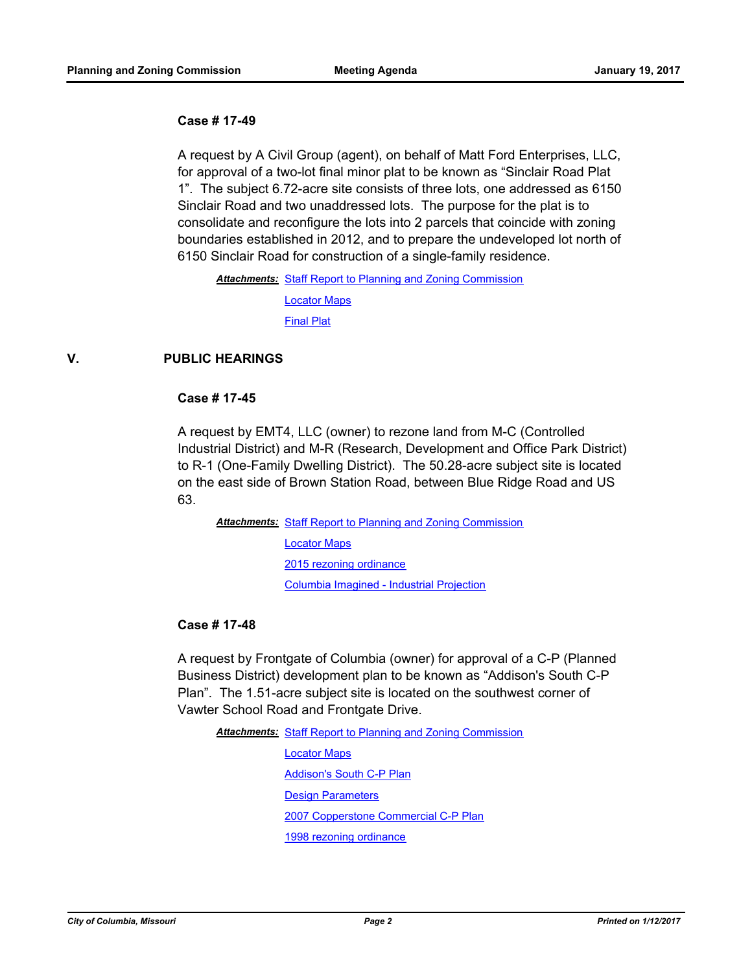## **Case # 17-49**

A request by A Civil Group (agent), on behalf of Matt Ford Enterprises, LLC, for approval of a two-lot final minor plat to be known as "Sinclair Road Plat 1". The subject 6.72-acre site consists of three lots, one addressed as 6150 Sinclair Road and two unaddressed lots. The purpose for the plat is to consolidate and reconfigure the lots into 2 parcels that coincide with zoning boundaries established in 2012, and to prepare the undeveloped lot north of 6150 Sinclair Road for construction of a single-family residence.

Attachments: [Staff Report to Planning and Zoning Commission](http://gocolumbiamo.legistar.com/gateway.aspx?M=F&ID=48abd4bd-0b4c-46f8-a9f9-0cf92fca002c.docx) [Locator Maps](http://gocolumbiamo.legistar.com/gateway.aspx?M=F&ID=eee73bf9-73ac-417a-86c8-0d1cbb6712c2.pdf) [Final Plat](http://gocolumbiamo.legistar.com/gateway.aspx?M=F&ID=4813ccca-44aa-4955-b5a3-e4fcc54a758f.pdf)

## **V. PUBLIC HEARINGS**

## **Case # 17-45**

A request by EMT4, LLC (owner) to rezone land from M-C (Controlled Industrial District) and M-R (Research, Development and Office Park District) to R-1 (One-Family Dwelling District). The 50.28-acre subject site is located on the east side of Brown Station Road, between Blue Ridge Road and US 63.

Attachments: [Staff Report to Planning and Zoning Commission](http://gocolumbiamo.legistar.com/gateway.aspx?M=F&ID=a73789ef-137a-4779-a0e3-de0d677a97d4.pdf) [Locator Maps](http://gocolumbiamo.legistar.com/gateway.aspx?M=F&ID=2b0f9abf-7be9-4bd8-999f-bfacc4948f13.pdf) [2015 rezoning ordinance](http://gocolumbiamo.legistar.com/gateway.aspx?M=F&ID=15eba4ff-5904-4a06-92ad-1933d8a2d5d6.pdf) [Columbia Imagined - Industrial Projection](http://gocolumbiamo.legistar.com/gateway.aspx?M=F&ID=fb73065c-6423-4f06-a0b0-14f312ad92e8.pdf)

#### **Case # 17-48**

A request by Frontgate of Columbia (owner) for approval of a C-P (Planned Business District) development plan to be known as "Addison's South C-P Plan". The 1.51-acre subject site is located on the southwest corner of Vawter School Road and Frontgate Drive.

Attachments: [Staff Report to Planning and Zoning Commission](http://gocolumbiamo.legistar.com/gateway.aspx?M=F&ID=01c8a374-e0d3-4fad-b820-51fb12564573.pdf) [Locator Maps](http://gocolumbiamo.legistar.com/gateway.aspx?M=F&ID=e024fba0-816b-43bc-9a30-965d987c55c1.pdf) [Addison's South C-P Plan](http://gocolumbiamo.legistar.com/gateway.aspx?M=F&ID=38f33823-fa92-4403-b7af-e747c11f5f19.pdf) [Design Parameters](http://gocolumbiamo.legistar.com/gateway.aspx?M=F&ID=f13a608a-70bd-4ba2-9757-69fa27b69143.pdf) [2007 Copperstone Commercial C-P Plan](http://gocolumbiamo.legistar.com/gateway.aspx?M=F&ID=010aa173-4c7d-4cb3-92d4-72311d6fb184.pdf) [1998 rezoning ordinance](http://gocolumbiamo.legistar.com/gateway.aspx?M=F&ID=9e7ad06c-868e-4917-9550-92cf48fa0e3b.pdf)